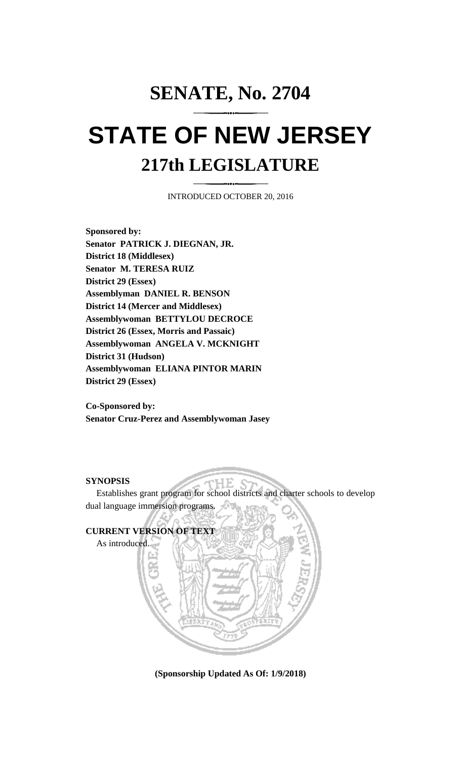## **SENATE, No. 2704 STATE OF NEW JERSEY 217th LEGISLATURE**

INTRODUCED OCTOBER 20, 2016

**Sponsored by: Senator PATRICK J. DIEGNAN, JR. District 18 (Middlesex) Senator M. TERESA RUIZ District 29 (Essex) Assemblyman DANIEL R. BENSON District 14 (Mercer and Middlesex) Assemblywoman BETTYLOU DECROCE District 26 (Essex, Morris and Passaic) Assemblywoman ANGELA V. MCKNIGHT District 31 (Hudson) Assemblywoman ELIANA PINTOR MARIN District 29 (Essex)**

**Co-Sponsored by: Senator Cruz-Perez and Assemblywoman Jasey**

## **SYNOPSIS**

Establishes grant program for school districts and charter schools to develop dual language immersion programs.



**(Sponsorship Updated As Of: 1/9/2018)**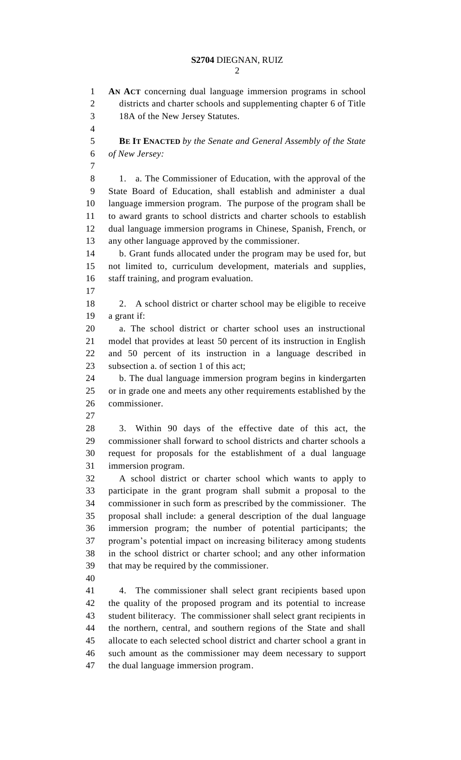**AN ACT** concerning dual language immersion programs in school districts and charter schools and supplementing chapter 6 of Title 18A of the New Jersey Statutes. **BE IT ENACTED** *by the Senate and General Assembly of the State of New Jersey:* 8 1. a. The Commissioner of Education, with the approval of the State Board of Education, shall establish and administer a dual language immersion program. The purpose of the program shall be to award grants to school districts and charter schools to establish dual language immersion programs in Chinese, Spanish, French, or any other language approved by the commissioner. b. Grant funds allocated under the program may be used for, but not limited to, curriculum development, materials and supplies, staff training, and program evaluation. 2. A school district or charter school may be eligible to receive a grant if: a. The school district or charter school uses an instructional model that provides at least 50 percent of its instruction in English and 50 percent of its instruction in a language described in subsection a. of section 1 of this act; b. The dual language immersion program begins in kindergarten or in grade one and meets any other requirements established by the commissioner. 3. Within 90 days of the effective date of this act, the commissioner shall forward to school districts and charter schools a request for proposals for the establishment of a dual language immersion program. A school district or charter school which wants to apply to participate in the grant program shall submit a proposal to the commissioner in such form as prescribed by the commissioner. The proposal shall include: a general description of the dual language immersion program; the number of potential participants; the program's potential impact on increasing biliteracy among students in the school district or charter school; and any other information that may be required by the commissioner. 4. The commissioner shall select grant recipients based upon the quality of the proposed program and its potential to increase student biliteracy. The commissioner shall select grant recipients in the northern, central, and southern regions of the State and shall allocate to each selected school district and charter school a grant in such amount as the commissioner may deem necessary to support the dual language immersion program.